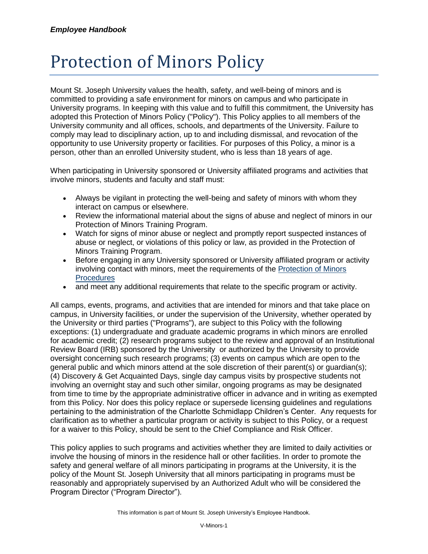## Protection of Minors Policy

Mount St. Joseph University values the health, safety, and well-being of minors and is committed to providing a safe environment for minors on campus and who participate in University programs. In keeping with this value and to fulfill this commitment, the University has adopted this Protection of Minors Policy ("Policy"). This Policy applies to all members of the University community and all offices, schools, and departments of the University. Failure to comply may lead to disciplinary action, up to and including dismissal, and revocation of the opportunity to use University property or facilities. For purposes of this Policy, a minor is a person, other than an enrolled University student, who is less than 18 years of age.

When participating in University sponsored or University affiliated programs and activities that involve minors, students and faculty and staff must:

- Always be vigilant in protecting the well-being and safety of minors with whom they interact on campus or elsewhere.
- Review the informational material about the signs of abuse and neglect of minors in our Protection of Minors Training Program.
- Watch for signs of minor abuse or neglect and promptly report suspected instances of abuse or neglect, or violations of this policy or law, as provided in the Protection of Minors Training Program.
- Before engaging in any University sponsored or University affiliated program or activity involving contact with minors, meet the requirements of the [Protection of Minors](https://mymount.msj.edu/ICS/icsfs/P-Protection_of_Minors_Procedures_(Employee_Handbo.pdf?target=8f6aae2a-dcb7-474f-9850-15e2c9321bb1)  **[Procedures](https://mymount.msj.edu/ICS/icsfs/P-Protection_of_Minors_Procedures_(Employee_Handbo.pdf?target=8f6aae2a-dcb7-474f-9850-15e2c9321bb1)**
- and meet any additional requirements that relate to the specific program or activity.

All camps, events, programs, and activities that are intended for minors and that take place on campus, in University facilities, or under the supervision of the University, whether operated by the University or third parties ("Programs"), are subject to this Policy with the following exceptions: (1) undergraduate and graduate academic programs in which minors are enrolled for academic credit; (2) research programs subject to the review and approval of an Institutional Review Board (IRB) sponsored by the University or authorized by the University to provide oversight concerning such research programs; (3) events on campus which are open to the general public and which minors attend at the sole discretion of their parent(s) or guardian(s); (4) Discovery & Get Acquainted Days, single day campus visits by prospective students not involving an overnight stay and such other similar, ongoing programs as may be designated from time to time by the appropriate administrative officer in advance and in writing as exempted from this Policy. Nor does this policy replace or supersede licensing guidelines and regulations pertaining to the administration of the Charlotte Schmidlapp Children's Center. Any requests for clarification as to whether a particular program or activity is subject to this Policy, or a request for a waiver to this Policy, should be sent to the Chief Compliance and Risk Officer.

This policy applies to such programs and activities whether they are limited to daily activities or involve the housing of minors in the residence hall or other facilities. In order to promote the safety and general welfare of all minors participating in programs at the University, it is the policy of the Mount St. Joseph University that all minors participating in programs must be reasonably and appropriately supervised by an Authorized Adult who will be considered the Program Director ("Program Director").